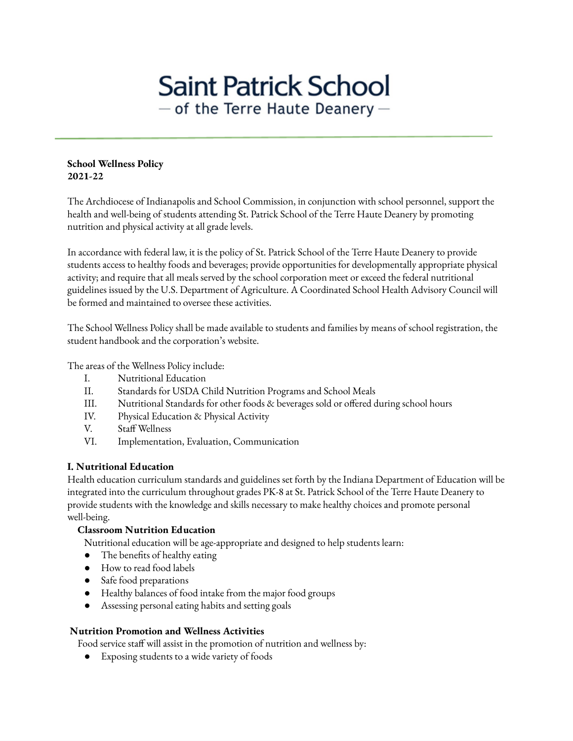# **Saint Patrick School**  $-$  of the Terre Haute Deanery  $-$

#### **School Wellness Policy 2021-22**

The Archdiocese of Indianapolis and School Commission, in conjunction with school personnel, support the health and well-being of students attending St. Patrick School of the Terre Haute Deanery by promoting nutrition and physical activity at all grade levels.

In accordance with federal law, it is the policy of St. Patrick School of the Terre Haute Deanery to provide students access to healthy foods and beverages; provide opportunities for developmentally appropriate physical activity; and require that all meals served by the school corporation meet or exceed the federal nutritional guidelines issued by the U.S. Department of Agriculture. A Coordinated School Health Advisory Council will be formed and maintained to oversee these activities.

The School Wellness Policy shall be made available to students and families by means of school registration, the student handbook and the corporation's website.

The areas of the Wellness Policy include:

- I. Nutritional Education
- II. Standards for USDA Child Nutrition Programs and School Meals
- III. Nutritional Standards for other foods & beverages sold or offered during school hours
- IV. Physical Education & Physical Activity
- V. Staff Wellness
- VI. Implementation, Evaluation, Communication

#### **I. Nutritional Education**

Health education curriculum standards and guidelines set forth by the Indiana Department of Education will be integrated into the curriculum throughout grades PK-8 at St. Patrick School of the Terre Haute Deanery to provide students with the knowledge and skills necessary to make healthy choices and promote personal well-being.

## **Classroom Nutrition Education**

Nutritional education will be age-appropriate and designed to help students learn:

- The benefits of healthy eating
- How to read food labels
- Safe food preparations
- Healthy balances of food intake from the major food groups
- Assessing personal eating habits and setting goals

## **Nutrition Promotion and Wellness Activities**

Food service staff will assist in the promotion of nutrition and wellness by:

● Exposing students to a wide variety of foods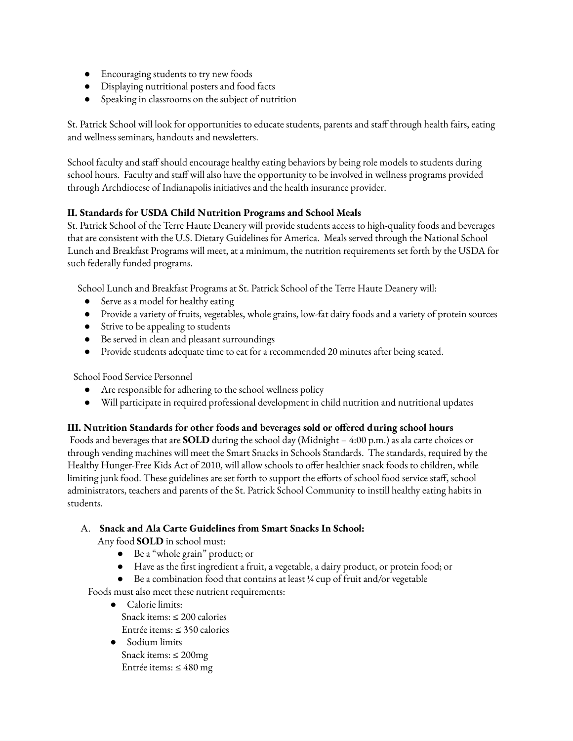- Encouraging students to try new foods
- Displaying nutritional posters and food facts
- Speaking in classrooms on the subject of nutrition

St. Patrick School will look for opportunities to educate students, parents and staff through health fairs, eating and wellness seminars, handouts and newsletters.

School faculty and staff should encourage healthy eating behaviors by being role models to students during school hours. Faculty and staff will also have the opportunity to be involved in wellness programs provided through Archdiocese of Indianapolis initiatives and the health insurance provider.

#### **II. Standards for USDA Child Nutrition Programs and School Meals**

St. Patrick School of the Terre Haute Deanery will provide students access to high-quality foods and beverages that are consistent with the U.S. Dietary Guidelines for America. Meals served through the National School Lunch and Breakfast Programs will meet, at a minimum, the nutrition requirements set forth by the USDA for such federally funded programs.

School Lunch and Breakfast Programs at St. Patrick School of the Terre Haute Deanery will:

- Serve as a model for healthy eating
- Provide a variety of fruits, vegetables, whole grains, low-fat dairy foods and a variety of protein sources
- Strive to be appealing to students
- Be served in clean and pleasant surroundings
- Provide students adequate time to eat for a recommended 20 minutes after being seated.

School Food Service Personnel

- Are responsible for adhering to the school wellness policy
- Will participate in required professional development in child nutrition and nutritional updates

## **III. Nutrition Standards for other foods and beverages sold or offered during school hours**

Foods and beverages that are **SOLD** during the school day (Midnight – 4:00 p.m.) as ala carte choices or through vending machines will meet the Smart Snacks in Schools Standards. The standards, required by the Healthy Hunger-Free Kids Act of 2010, will allow schools to offer healthier snack foods to children, while limiting junk food. These guidelines are set forth to support the efforts of school food service staff, school administrators, teachers and parents of the St. Patrick School Community to instill healthy eating habits in students.

#### A. **Snack and Ala Carte Guidelines from Smart Snacks In School:**

Any food **SOLD** in school must:

- Be a "whole grain" product; or
- Have as the first ingredient a fruit, a vegetable, a dairy product, or protein food; or
- Be a combination food that contains at least ¼ cup of fruit and/or vegetable

Foods must also meet these nutrient requirements:

- Calorie limits: Snack items: ≤ 200 calories Entrée items: ≤ 350 calories
- Sodium limits Snack items: ≤ 200mg Entrée items: ≤ 480 mg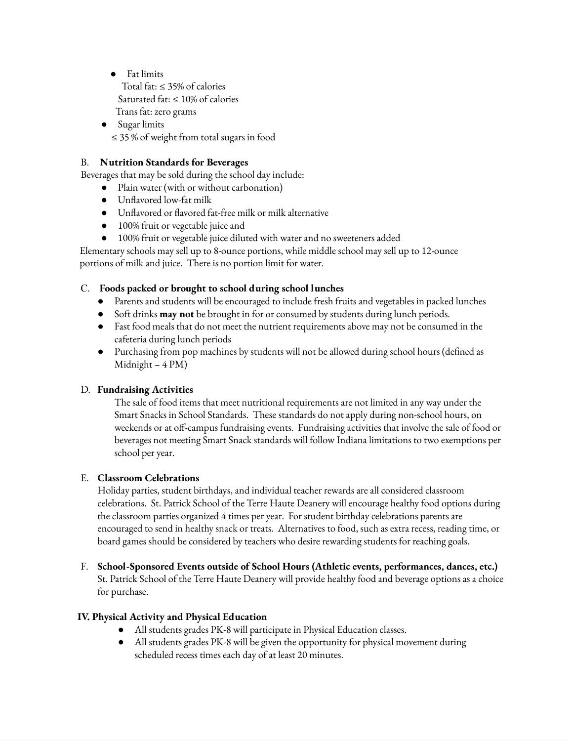● Fat limits

Total fat: ≤ 35% of calories Saturated fat:  $\leq 10\%$  of calories Trans fat: zero grams

● Sugar limits ≤ 35 % of weight from total sugars in food

# B. **Nutrition Standards for Beverages**

Beverages that may be sold during the school day include:

- Plain water (with or without carbonation)
- Unflavored low-fat milk
- Unflavored or flavored fat-free milk or milk alternative
- 100% fruit or vegetable juice and
- 100% fruit or vegetable juice diluted with water and no sweeteners added

Elementary schools may sell up to 8-ounce portions, while middle school may sell up to 12-ounce portions of milk and juice. There is no portion limit for water.

## C. **Foods packed or brought to school during school lunches**

- Parents and students will be encouraged to include fresh fruits and vegetables in packed lunches
- Soft drinks **may not** be brought in for or consumed by students during lunch periods.
- Fast food meals that do not meet the nutrient requirements above may not be consumed in the cafeteria during lunch periods
- Purchasing from pop machines by students will not be allowed during school hours (defined as Midnight – 4 PM)

## D. **Fundraising Activities**

The sale of food items that meet nutritional requirements are not limited in any way under the Smart Snacks in School Standards. These standards do not apply during non-school hours, on weekends or at off-campus fundraising events. Fundraising activities that involve the sale of food or beverages not meeting Smart Snack standards will follow Indiana limitations to two exemptions per school per year.

## E. **Classroom Celebrations**

Holiday parties, student birthdays, and individual teacher rewards are all considered classroom celebrations. St. Patrick School of the Terre Haute Deanery will encourage healthy food options during the classroom parties organized 4 times per year. For student birthday celebrations parents are encouraged to send in healthy snack or treats. Alternatives to food, such as extra recess, reading time, or board games should be considered by teachers who desire rewarding students for reaching goals.

F. **School-Sponsored Events outside of School Hours (Athletic events, performances, dances, etc.)** St. Patrick School of the Terre Haute Deanery will provide healthy food and beverage options as a choice for purchase.

# **IV. Physical Activity and Physical Education**

- All students grades PK-8 will participate in Physical Education classes.
- All students grades PK-8 will be given the opportunity for physical movement during scheduled recess times each day of at least 20 minutes.